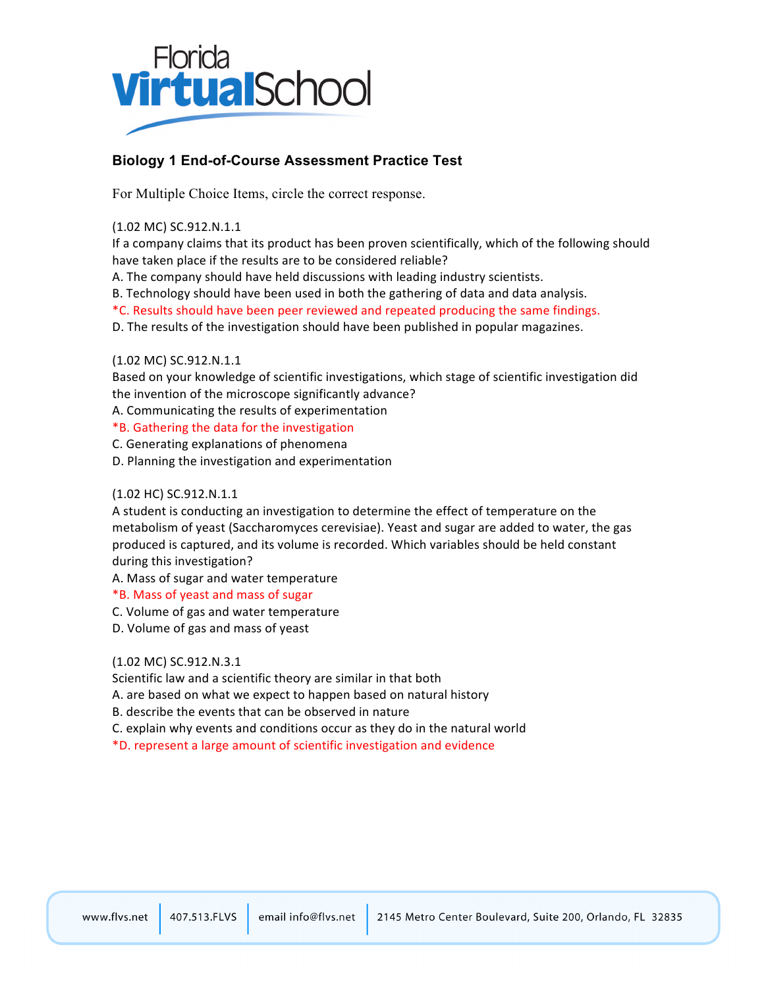

# **Biology 1 End-of-Course Assessment Practice Test**

For Multiple Choice Items, circle the correct response.

(1.02!MC) SC.912.N.1.1

If a company claims that its product has been proven scientifically, which of the following should have taken place if the results are to be considered reliable?

A. The company should have held discussions with leading industry scientists.

B. Technology should have been used in both the gathering of data and data analysis.

\*C. Results should have been peer reviewed and repeated producing the same findings.

D. The results of the investigation should have been published in popular magazines.

#### (1.02 MC) SC.912.N.1.1

Based on your knowledge of scientific investigations, which stage of scientific investigation did the invention of the microscope significantly advance?

A. Communicating the results of experimentation

#### \*B. Gathering the data for the investigation

C. Generating explanations of phenomena

D. Planning the investigation and experimentation

#### (1.02 HC) SC.912.N.1.1

A student is conducting an investigation to determine the effect of temperature on the metabolism of yeast (Saccharomyces cerevisiae). Yeast and sugar are added to water, the gas produced is captured, and its volume is recorded. Which variables should be held constant during this investigation?

A. Mass of sugar and water temperature

#### \*B.!Mass!of!yeast!and!mass!of!sugar

C. Volume of gas and water temperature

D. Volume of gas and mass of yeast

#### (1.02 MC) SC.912.N.3.1

Scientific law and a scientific theory are similar in that both

A. are based on what we expect to happen based on natural history

- B. describe the events that can be observed in nature
- C. explain why events and conditions occur as they do in the natural world
- \*D.!represent!a!large!amount!of!scientific!investigation!and!evidence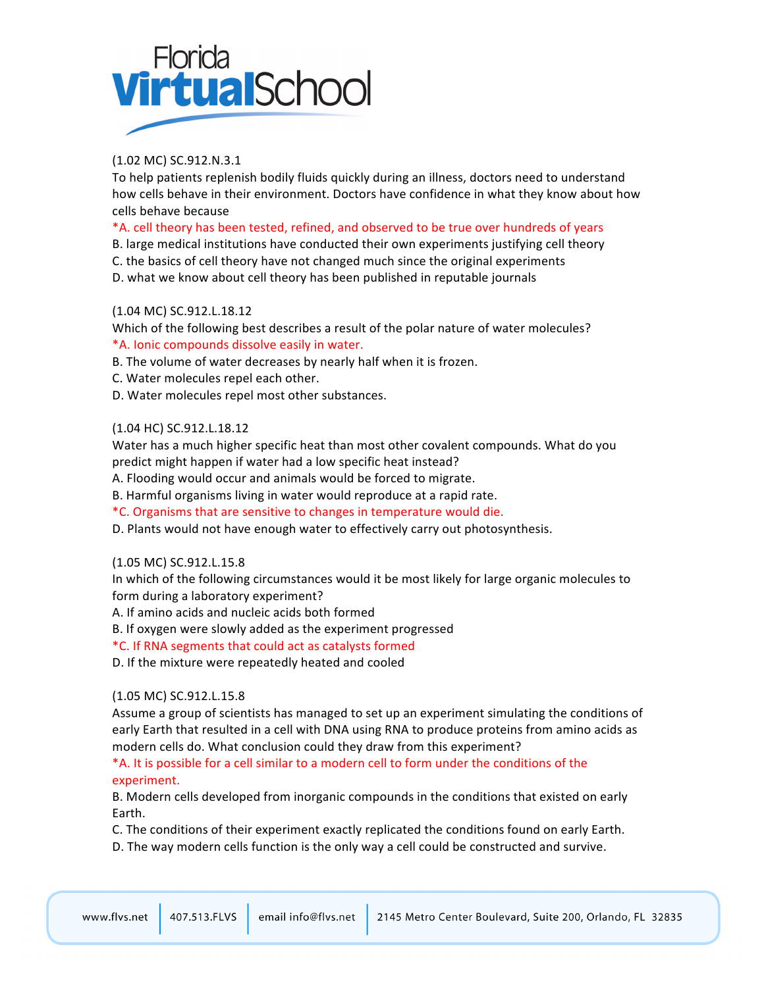

# (1.02!MC) SC.912.N.3.1

To help patients replenish bodily fluids quickly during an illness, doctors need to understand how cells behave in their environment. Doctors have confidence in what they know about how cells behave because

### \*A. cell theory has been tested, refined, and observed to be true over hundreds of years

B. large medical institutions have conducted their own experiments justifying cell theory

- C. the basics of cell theory have not changed much since the original experiments
- D. what we know about cell theory has been published in reputable journals

# (1.04 MC) SC.912.L.18.12

Which of the following best describes a result of the polar nature of water molecules? \*A. Ionic compounds dissolve easily in water.

B. The volume of water decreases by nearly half when it is frozen.

- C. Water molecules repel each other.
- D. Water molecules repel most other substances.

#### (1.04 HC) SC.912.L.18.12

Water has a much higher specific heat than most other covalent compounds. What do you predict might happen if water had a low specific heat instead?

A. Flooding would occur and animals would be forced to migrate.

B. Harmful organisms living in water would reproduce at a rapid rate.

\*C.!Organisms!that!are!sensitive!to!changes!in!temperature!would!die.

D. Plants would not have enough water to effectively carry out photosynthesis.

#### (1.05 MC) SC.912.L.15.8

In which of the following circumstances would it be most likely for large organic molecules to form during a laboratory experiment?

A. If amino acids and nucleic acids both formed

B. If oxygen were slowly added as the experiment progressed

\*C.!If!RNA!segments!that!could!act!as!catalysts!formed

D. If the mixture were repeatedly heated and cooled

#### (1.05 MC) SC.912.L.15.8

Assume a group of scientists has managed to set up an experiment simulating the conditions of early Earth that resulted in a cell with DNA using RNA to produce proteins from amino acids as modern cells do. What conclusion could they draw from this experiment?

\*A. It is possible for a cell similar to a modern cell to form under the conditions of the experiment.

B. Modern cells developed from inorganic compounds in the conditions that existed on early Earth.

C. The conditions of their experiment exactly replicated the conditions found on early Earth.

D. The way modern cells function is the only way a cell could be constructed and survive.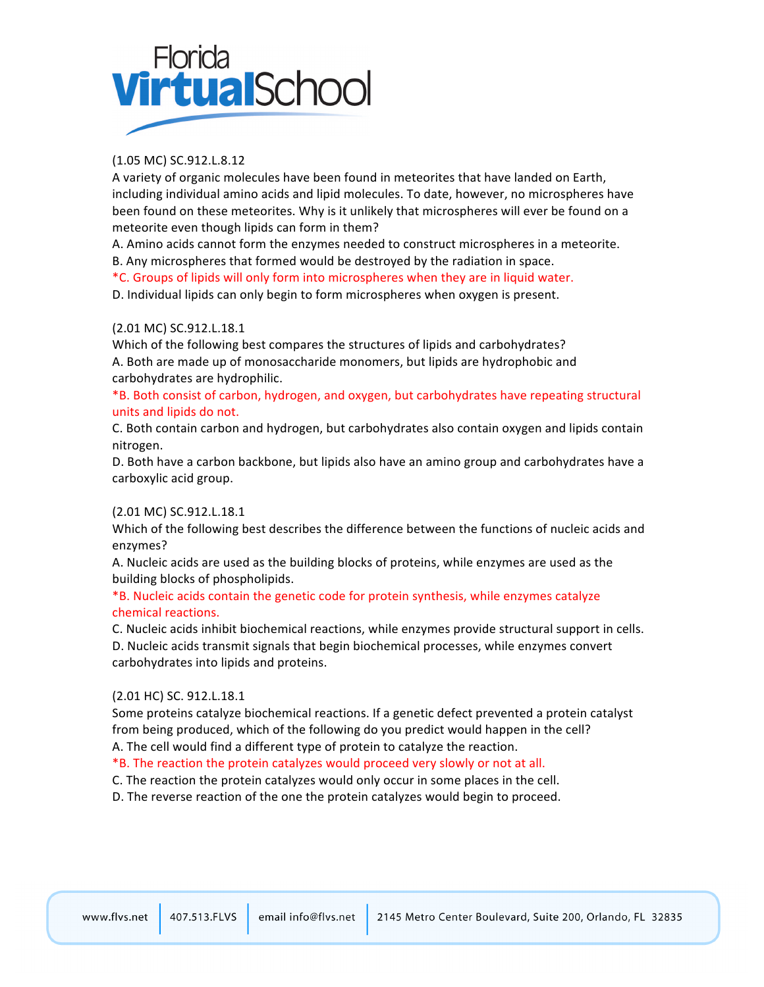# Florida<br>**Virtual**Schoc

# (1.05 MC) SC.912.L.8.12

A variety of organic molecules have been found in meteorites that have landed on Earth, including individual amino acids and lipid molecules. To date, however, no microspheres have been found on these meteorites. Why is it unlikely that microspheres will ever be found on a meteorite even though lipids can form in them?

A. Amino acids cannot form the enzymes needed to construct microspheres in a meteorite. B. Any microspheres that formed would be destroyed by the radiation in space.

\*C. Groups of lipids will only form into microspheres when they are in liquid water.

D. Individual lipids can only begin to form microspheres when oxygen is present.

#### (2.01!MC) SC.912.L.18.1

Which of the following best compares the structures of lipids and carbohydrates? A. Both are made up of monosaccharide monomers, but lipids are hydrophobic and carbohydrates are hydrophilic.

\*B. Both consist of carbon, hydrogen, and oxygen, but carbohydrates have repeating structural units and lipids do not.

C. Both contain carbon and hydrogen, but carbohydrates also contain oxygen and lipids contain nitrogen.

D. Both have a carbon backbone, but lipids also have an amino group and carbohydrates have a carboxylic acid group.

# (2.01!MC) SC.912.L.18.1

Which of the following best describes the difference between the functions of nucleic acids and enzymes?

A. Nucleic acids are used as the building blocks of proteins, while enzymes are used as the building blocks of phospholipids.

#### \*B. Nucleic acids contain the genetic code for protein synthesis, while enzymes catalyze chemical reactions.

C. Nucleic acids inhibit biochemical reactions, while enzymes provide structural support in cells.

D. Nucleic acids transmit signals that begin biochemical processes, while enzymes convert carbohydrates into lipids and proteins.

#### (2.01 HC) SC. 912.L.18.1

Some proteins catalyze biochemical reactions. If a genetic defect prevented a protein catalyst from being produced, which of the following do you predict would happen in the cell? A. The cell would find a different type of protein to catalyze the reaction.

\*B. The reaction the protein catalyzes would proceed very slowly or not at all.

C. The reaction the protein catalyzes would only occur in some places in the cell.

D. The reverse reaction of the one the protein catalyzes would begin to proceed.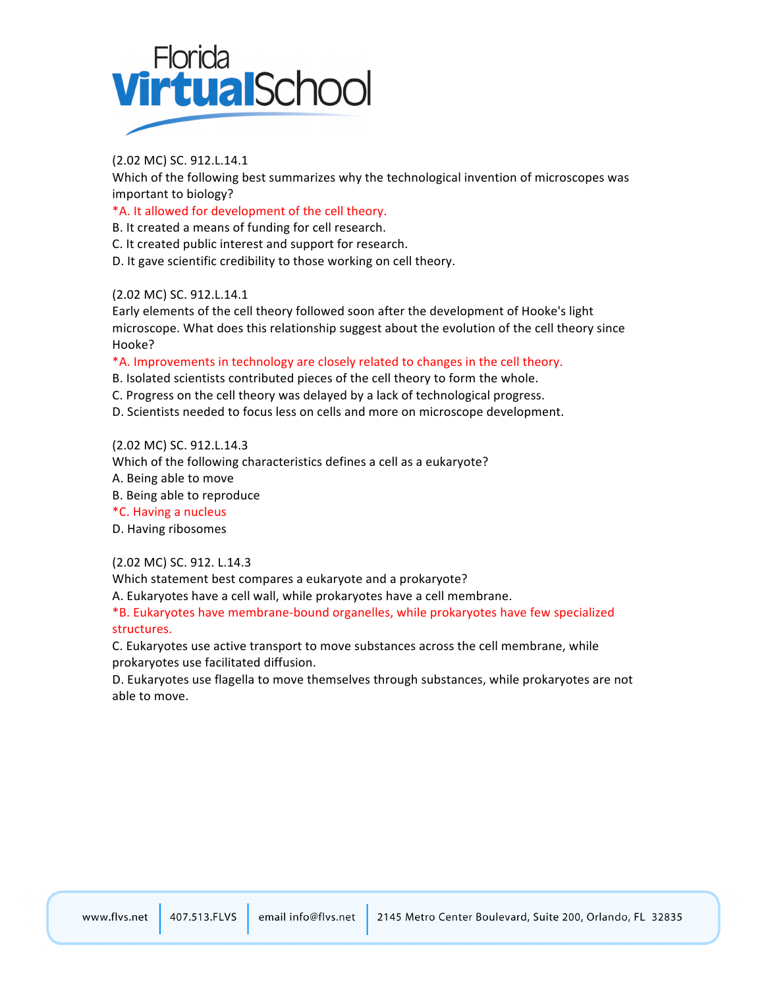

#### (2.02 MC) SC. 912.L.14.1

Which of the following best summarizes why the technological invention of microscopes was important to biology?

\*A. It allowed for development of the cell theory.

B. It created a means of funding for cell research.

C. It created public interest and support for research.

D. It gave scientific credibility to those working on cell theory.

#### (2.02 MC) SC. 912.L.14.1

Early elements of the cell theory followed soon after the development of Hooke's light microscope. What does this relationship suggest about the evolution of the cell theory since Hooke?

#### \*A. Improvements in technology are closely related to changes in the cell theory.

B. Isolated scientists contributed pieces of the cell theory to form the whole.

- C. Progress on the cell theory was delayed by a lack of technological progress.
- D. Scientists needed to focus less on cells and more on microscope development.

#### (2.02 MC) SC. 912.L.14.3

Which of the following characteristics defines a cell as a eukaryote?

A. Being able to move

B. Being able to reproduce

\*C.!Having!a!nucleus

D. Having ribosomes

#### (2.02 MC) SC. 912. L.14.3

Which statement best compares a eukaryote and a prokaryote?

A. Eukaryotes have a cell wall, while prokaryotes have a cell membrane.

\*B. Eukaryotes have membrane-bound organelles, while prokaryotes have few specialized structures.

C. Eukaryotes use active transport to move substances across the cell membrane, while prokaryotes use facilitated diffusion.

D. Eukaryotes use flagella to move themselves through substances, while prokaryotes are not able to move.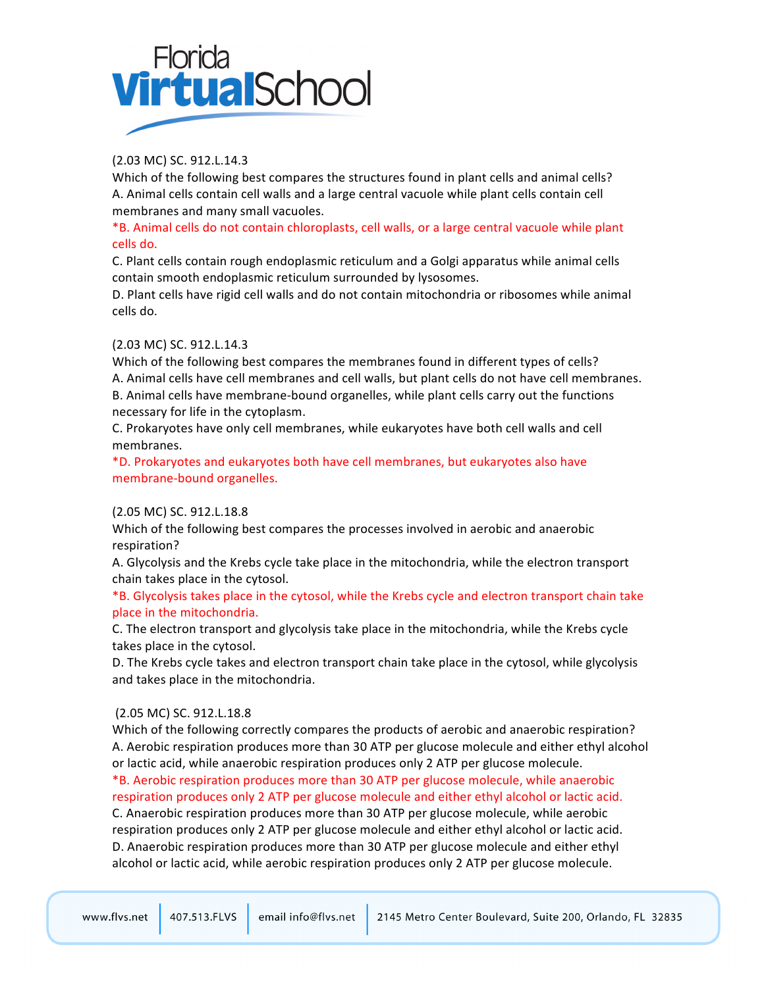

# (2.03 MC) SC. 912.L.14.3

Which of the following best compares the structures found in plant cells and animal cells? A. Animal cells contain cell walls and a large central vacuole while plant cells contain cell membranes and many small vacuoles.

#### \*B. Animal cells do not contain chloroplasts, cell walls, or a large central vacuole while plant cells do.

C. Plant cells contain rough endoplasmic reticulum and a Golgi apparatus while animal cells contain smooth endoplasmic reticulum surrounded by lysosomes.

D. Plant cells have rigid cell walls and do not contain mitochondria or ribosomes while animal cells do.

#### (2.03 MC) SC. 912.L.14.3

Which of the following best compares the membranes found in different types of cells? A. Animal cells have cell membranes and cell walls, but plant cells do not have cell membranes. B. Animal cells have membrane-bound organelles, while plant cells carry out the functions necessary for life in the cytoplasm.

C. Prokaryotes have only cell membranes, while eukaryotes have both cell walls and cell membranes.

\*D.!Prokaryotes!and!eukaryotes!both!have!cell!membranes,!but!eukaryotes!also!have! membrane-bound organelles.

#### (2.05 MC) SC. 912.L.18.8

Which of the following best compares the processes involved in aerobic and anaerobic respiration?

A. Glycolysis and the Krebs cycle take place in the mitochondria, while the electron transport chain takes place in the cytosol.

#### \*B. Glycolysis takes place in the cytosol, while the Krebs cycle and electron transport chain take place in the mitochondria.

C. The electron transport and glycolysis take place in the mitochondria, while the Krebs cycle takes place in the cytosol.

D. The Krebs cycle takes and electron transport chain take place in the cytosol, while glycolysis and takes place in the mitochondria.

#### (2.05 MC) SC. 912.L.18.8

Which of the following correctly compares the products of aerobic and anaerobic respiration? A. Aerobic respiration produces more than 30 ATP per glucose molecule and either ethyl alcohol or lactic acid, while anaerobic respiration produces only 2 ATP per glucose molecule.

\*B. Aerobic respiration produces more than 30 ATP per glucose molecule, while anaerobic respiration produces only 2 ATP per glucose molecule and either ethyl alcohol or lactic acid. C. Anaerobic respiration produces more than 30 ATP per glucose molecule, while aerobic

respiration produces only 2 ATP per glucose molecule and either ethyl alcohol or lactic acid. D. Anaerobic respiration produces more than 30 ATP per glucose molecule and either ethyl alcohol or lactic acid, while aerobic respiration produces only 2 ATP per glucose molecule.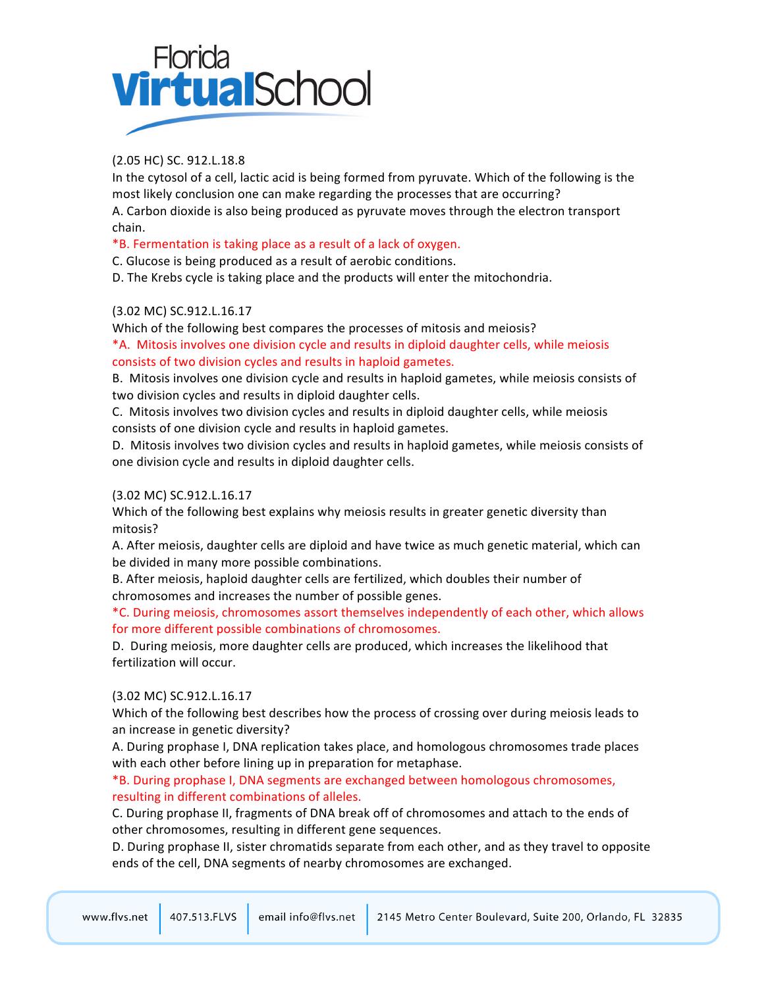# Florida<br>**Virtual**Schoc

# (2.05 HC) SC. 912.L.18.8

In the cytosol of a cell, lactic acid is being formed from pyruvate. Which of the following is the most likely conclusion one can make regarding the processes that are occurring? A. Carbon dioxide is also being produced as pyruvate moves through the electron transport chain.

\*B. Fermentation is taking place as a result of a lack of oxygen.

C. Glucose is being produced as a result of aerobic conditions.

D. The Krebs cycle is taking place and the products will enter the mitochondria.

# (3.02 MC) SC.912.L.16.17

Which of the following best compares the processes of mitosis and meiosis?

\*A. Mitosis involves one division cycle and results in diploid daughter cells, while meiosis consists of two division cycles and results in haploid gametes.

B. Mitosis involves one division cycle and results in haploid gametes, while meiosis consists of two division cycles and results in diploid daughter cells.

C. Mitosis involves two division cycles and results in diploid daughter cells, while meiosis consists of one division cycle and results in haploid gametes.

D. Mitosis involves two division cycles and results in haploid gametes, while meiosis consists of one division cycle and results in diploid daughter cells.

# (3.02 MC) SC.912.L.16.17

Which of the following best explains why meiosis results in greater genetic diversity than mitosis?

A. After meiosis, daughter cells are diploid and have twice as much genetic material, which can be divided in many more possible combinations.

B. After meiosis, haploid daughter cells are fertilized, which doubles their number of chromosomes and increases the number of possible genes.

\*C. During meiosis, chromosomes assort themselves independently of each other, which allows for more different possible combinations of chromosomes.

D. During meiosis, more daughter cells are produced, which increases the likelihood that fertilization will occur.

# (3.02 MC) SC.912.L.16.17

Which of the following best describes how the process of crossing over during meiosis leads to an increase in genetic diversity?

A. During prophase I, DNA replication takes place, and homologous chromosomes trade places with each other before lining up in preparation for metaphase.

#### \*B. During prophase I, DNA segments are exchanged between homologous chromosomes, resulting in different combinations of alleles.

C. During prophase II, fragments of DNA break off of chromosomes and attach to the ends of other chromosomes, resulting in different gene sequences.

D. During prophase II, sister chromatids separate from each other, and as they travel to opposite ends of the cell, DNA segments of nearby chromosomes are exchanged.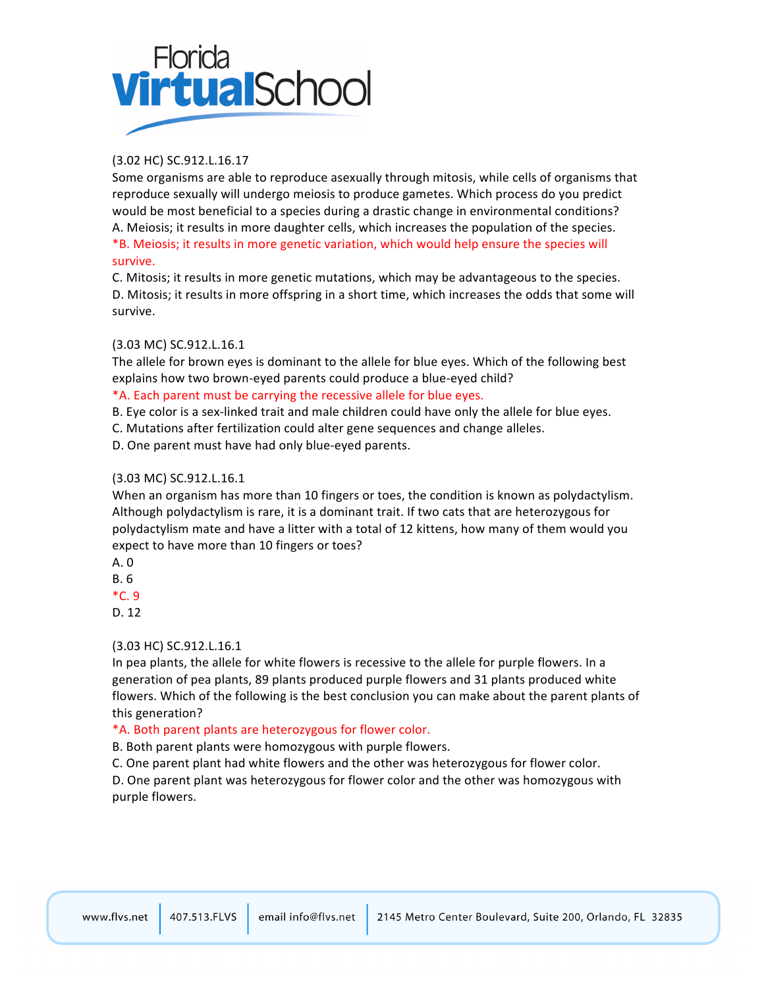# Florida<br>**Virtual** School

# (3.02!HC) SC.912.L.16.17

Some organisms are able to reproduce asexually through mitosis, while cells of organisms that reproduce sexually will undergo meiosis to produce gametes. Which process do you predict would be most beneficial to a species during a drastic change in environmental conditions? A. Meiosis; it results in more daughter cells, which increases the population of the species. \*B. Meiosis; it results in more genetic variation, which would help ensure the species will survive.

C. Mitosis; it results in more genetic mutations, which may be advantageous to the species. D. Mitosis; it results in more offspring in a short time, which increases the odds that some will survive.

# (3.03 MC) SC.912.L.16.1

The allele for brown eyes is dominant to the allele for blue eyes. Which of the following best explains how two brown-eyed parents could produce a blue-eyed child?

#### \*A. Each parent must be carrying the recessive allele for blue eyes.

B. Eye color is a sex-linked trait and male children could have only the allele for blue eyes.

C. Mutations after fertilization could alter gene sequences and change alleles.

D. One parent must have had only blue-eyed parents.

#### (3.03 MC) SC.912.L.16.1

When an organism has more than 10 fingers or toes, the condition is known as polydactylism. Although polydactylism is rare, it is a dominant trait. If two cats that are heterozygous for polydactylism mate and have a litter with a total of 12 kittens, how many of them would you expect to have more than 10 fingers or toes?

A.!0

B.!6

 $*C. 9$ 

D. 12

# (3.03 HC) SC.912.L.16.1

In pea plants, the allele for white flowers is recessive to the allele for purple flowers. In a generation of pea plants, 89 plants produced purple flowers and 31 plants produced white flowers. Which of the following is the best conclusion you can make about the parent plants of this generation?

# \*A. Both parent plants are heterozygous for flower color.

B. Both parent plants were homozygous with purple flowers.

C. One parent plant had white flowers and the other was heterozygous for flower color.

D. One parent plant was heterozygous for flower color and the other was homozygous with purple flowers.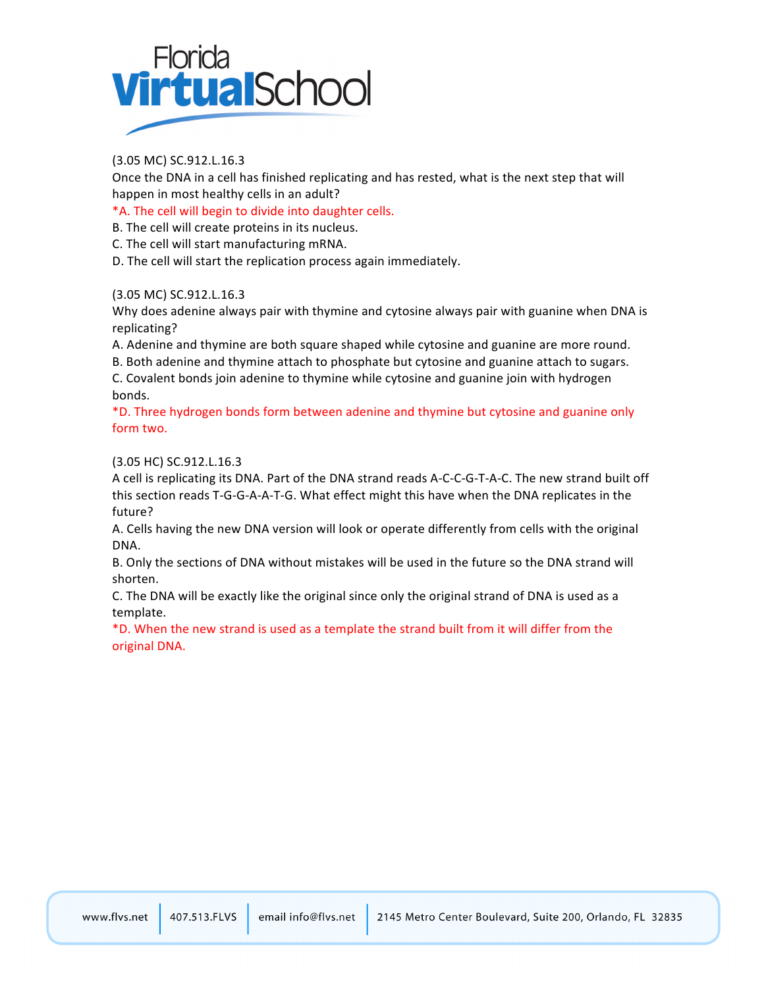

### (3.05 MC) SC.912.L.16.3

Once the DNA in a cell has finished replicating and has rested, what is the next step that will happen in most healthy cells in an adult?

\*A. The cell will begin to divide into daughter cells.

B. The cell will create proteins in its nucleus.

C. The cell will start manufacturing mRNA.

D. The cell will start the replication process again immediately.

#### (3.05 MC) SC.912.L.16.3

Why does adenine always pair with thymine and cytosine always pair with guanine when DNA is replicating?

A. Adenine and thymine are both square shaped while cytosine and guanine are more round. B. Both adenine and thymine attach to phosphate but cytosine and guanine attach to sugars.

C. Covalent bonds join adenine to thymine while cytosine and guanine join with hydrogen bonds.

\*D. Three hydrogen bonds form between adenine and thymine but cytosine and guanine only form two.

#### (3.05 HC) SC.912.L.16.3

A cell is replicating its DNA. Part of the DNA strand reads A-C-C-G-T-A-C. The new strand built off this section reads T-G-G-A-A-T-G. What effect might this have when the DNA replicates in the future?

A. Cells having the new DNA version will look or operate differently from cells with the original DNA.

B. Only the sections of DNA without mistakes will be used in the future so the DNA strand will shorten.

C. The DNA will be exactly like the original since only the original strand of DNA is used as a template.

\*D. When the new strand is used as a template the strand built from it will differ from the original DNA.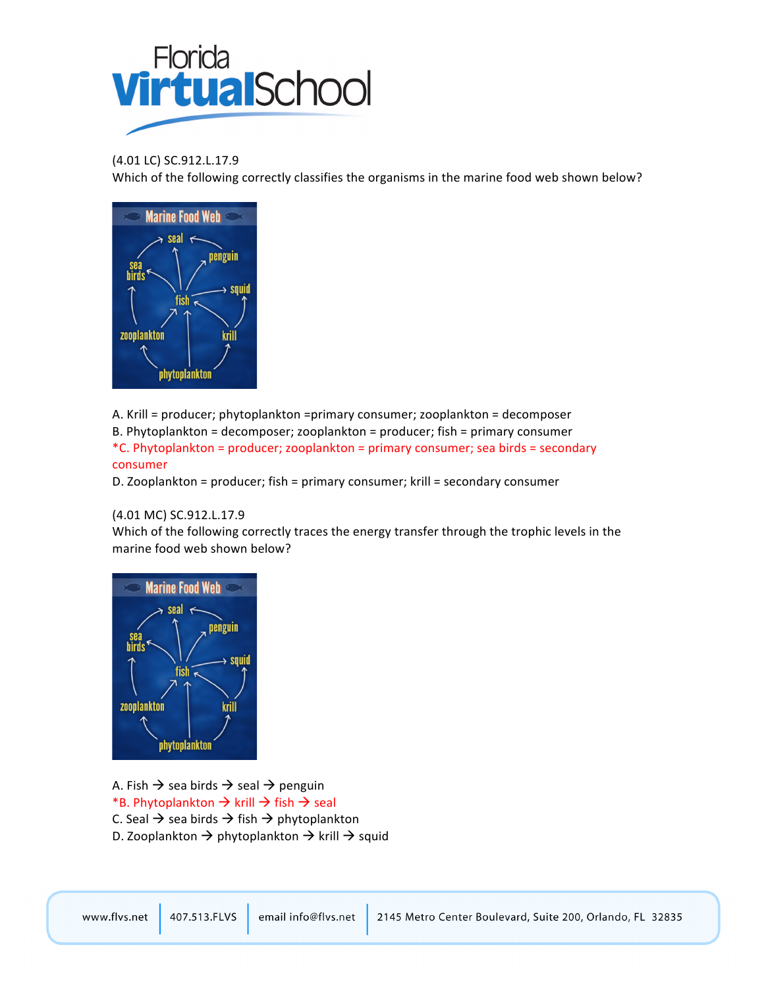

#### (4.01 LC) SC.912.L.17.9

Which of the following correctly classifies the organisms in the marine food web shown below?



A. Krill = producer; phytoplankton =primary consumer; zooplankton = decomposer

B. Phytoplankton = decomposer; zooplankton = producer; fish = primary consumer

\*C. Phytoplankton = producer; zooplankton = primary consumer; sea birds = secondary consumer

D. Zooplankton = producer; fish = primary consumer; krill = secondary consumer

#### (4.01 MC) SC.912.L.17.9

Which of the following correctly traces the energy transfer through the trophic levels in the marine food web shown below?



A. Fish  $\rightarrow$  sea birds  $\rightarrow$  seal  $\rightarrow$  penguin \*B. Phytoplankton  $\rightarrow$  krill  $\rightarrow$  fish  $\rightarrow$  seal C. Seal  $\rightarrow$  sea birds  $\rightarrow$  fish  $\rightarrow$  phytoplankton D. Zooplankton  $\rightarrow$  phytoplankton  $\rightarrow$  krill  $\rightarrow$  squid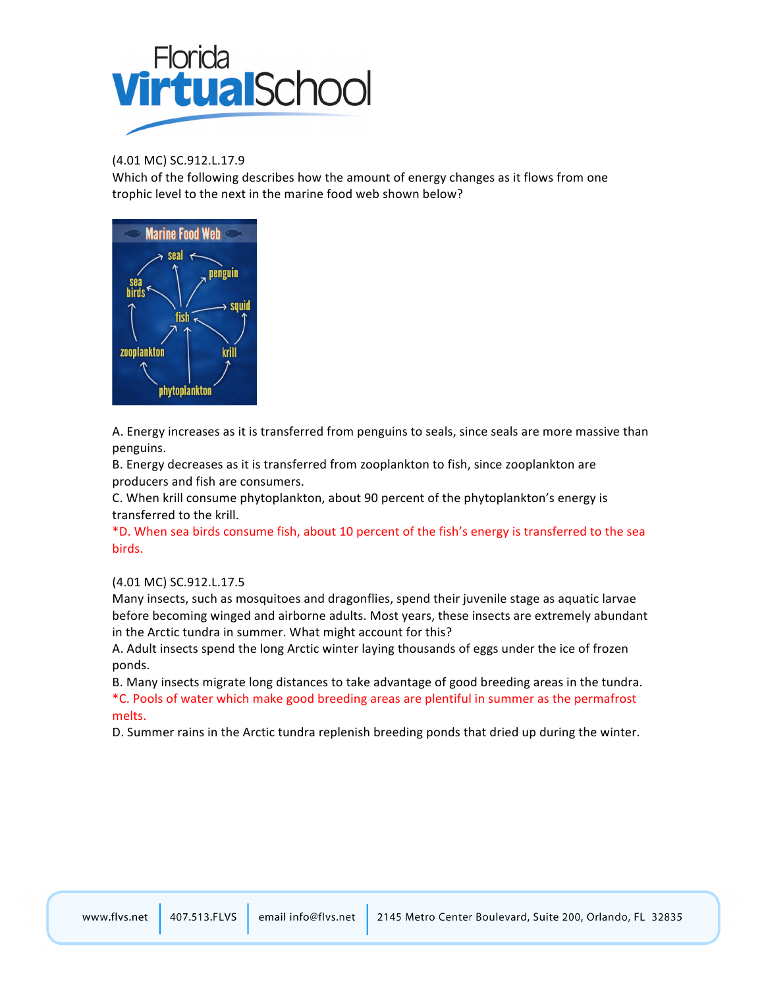

(4.01 MC) SC.912.L.17.9

Which of the following describes how the amount of energy changes as it flows from one trophic level to the next in the marine food web shown below?



A. Energy increases as it is transferred from penguins to seals, since seals are more massive than penguins.

B. Energy decreases as it is transferred from zooplankton to fish, since zooplankton are producers and fish are consumers.

C. When krill consume phytoplankton, about 90 percent of the phytoplankton's energy is transferred to the krill.

\*D. When sea birds consume fish, about 10 percent of the fish's energy is transferred to the sea birds.

#### (4.01 MC) SC.912.L.17.5

Many insects, such as mosquitoes and dragonflies, spend their juvenile stage as aquatic larvae before becoming winged and airborne adults. Most years, these insects are extremely abundant in the Arctic tundra in summer. What might account for this?

A. Adult insects spend the long Arctic winter laying thousands of eggs under the ice of frozen ponds.

B. Many insects migrate long distances to take advantage of good breeding areas in the tundra. \*C. Pools of water which make good breeding areas are plentiful in summer as the permafrost melts.

D. Summer rains in the Arctic tundra replenish breeding ponds that dried up during the winter.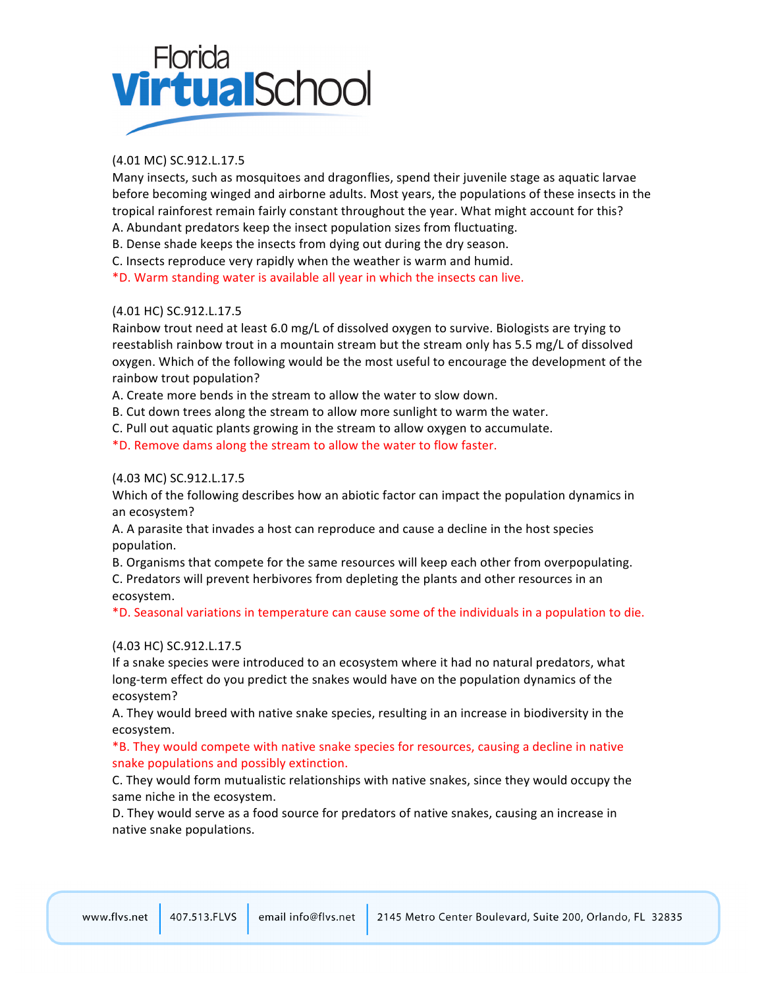# **Florida VirtualSchod**

# (4.01 MC) SC.912.L.17.5

Many insects, such as mosquitoes and dragonflies, spend their juvenile stage as aquatic larvae before becoming winged and airborne adults. Most years, the populations of these insects in the tropical rainforest remain fairly constant throughout the year. What might account for this?

A. Abundant predators keep the insect population sizes from fluctuating.

B. Dense shade keeps the insects from dying out during the dry season.

C. Insects reproduce very rapidly when the weather is warm and humid.

\*D. Warm standing water is available all year in which the insects can live.

#### (4.01 HC) SC.912.L.17.5

Rainbow trout need at least 6.0 mg/L of dissolved oxygen to survive. Biologists are trying to reestablish rainbow trout in a mountain stream but the stream only has 5.5 mg/L of dissolved oxygen. Which of the following would be the most useful to encourage the development of the rainbow trout population?

A. Create more bends in the stream to allow the water to slow down.

B. Cut down trees along the stream to allow more sunlight to warm the water.

C. Pull out aquatic plants growing in the stream to allow oxygen to accumulate.

\*D. Remove dams along the stream to allow the water to flow faster.

#### (4.03 MC) SC.912.L.17.5

Which of the following describes how an abiotic factor can impact the population dynamics in an ecosystem?

A. A parasite that invades a host can reproduce and cause a decline in the host species population.

B. Organisms that compete for the same resources will keep each other from overpopulating. C. Predators will prevent herbivores from depleting the plants and other resources in an ecosystem.

\*D. Seasonal variations in temperature can cause some of the individuals in a population to die.

# (4.03 HC) SC.912.L.17.5

If a snake species were introduced to an ecosystem where it had no natural predators, what long-term effect do you predict the snakes would have on the population dynamics of the ecosystem?

A. They would breed with native snake species, resulting in an increase in biodiversity in the ecosystem.

\*B. They would compete with native snake species for resources, causing a decline in native snake populations and possibly extinction.

C. They would form mutualistic relationships with native snakes, since they would occupy the same niche in the ecosystem.

D. They would serve as a food source for predators of native snakes, causing an increase in native snake populations.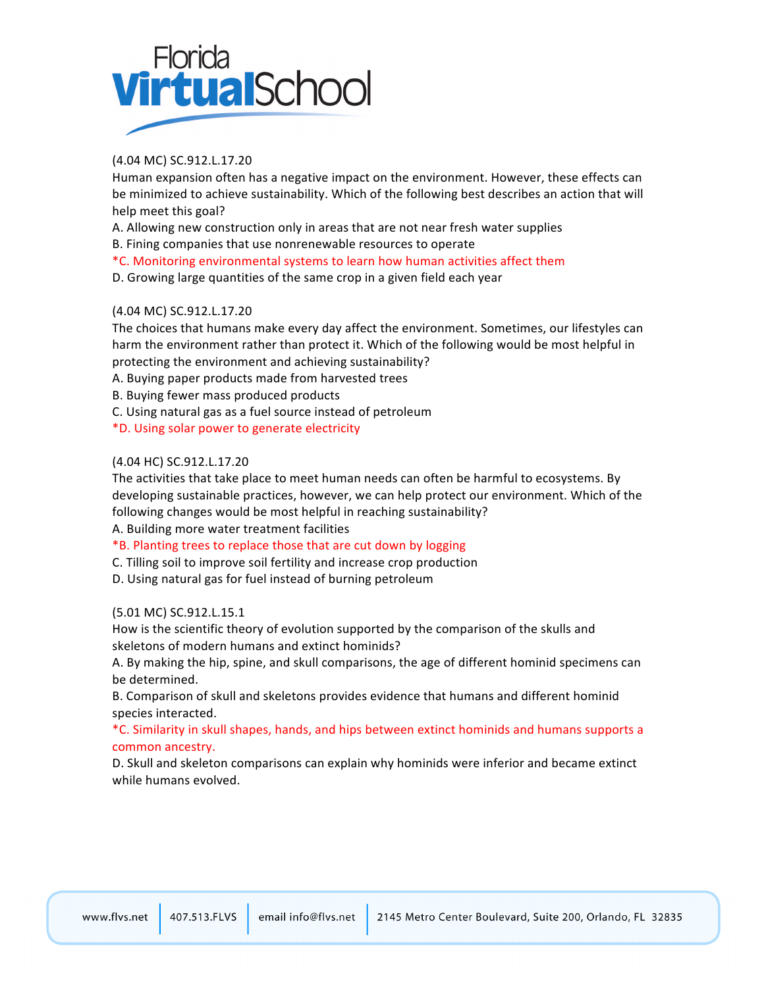

### (4.04 MC) SC.912.L.17.20

Human expansion often has a negative impact on the environment. However, these effects can be minimized to achieve sustainability. Which of the following best describes an action that will help meet this goal?

A. Allowing new construction only in areas that are not near fresh water supplies

B. Fining companies that use nonrenewable resources to operate

\*C.!Monitoring!environmental!systems!to!learn!how!human!activities!affect!them

D. Growing large quantities of the same crop in a given field each year

#### (4.04 MC) SC.912.L.17.20

The choices that humans make every day affect the environment. Sometimes, our lifestyles can harm the environment rather than protect it. Which of the following would be most helpful in protecting the environment and achieving sustainability?

A. Buying paper products made from harvested trees

B. Buying fewer mass produced products

C. Using natural gas as a fuel source instead of petroleum

\*D.!Using!solar!power!to!generate!electricity

#### (4.04 HC) SC.912.L.17.20

The activities that take place to meet human needs can often be harmful to ecosystems. By developing sustainable practices, however, we can help protect our environment. Which of the following changes would be most helpful in reaching sustainability?

A. Building more water treatment facilities

\*B. Planting trees to replace those that are cut down by logging

C. Tilling soil to improve soil fertility and increase crop production

D. Using natural gas for fuel instead of burning petroleum

#### (5.01 MC) SC.912.L.15.1

How is the scientific theory of evolution supported by the comparison of the skulls and skeletons of modern humans and extinct hominids?

A. By making the hip, spine, and skull comparisons, the age of different hominid specimens can be determined.

B. Comparison of skull and skeletons provides evidence that humans and different hominid species interacted.

#### \*C. Similarity in skull shapes, hands, and hips between extinct hominids and humans supports a common ancestry.

D. Skull and skeleton comparisons can explain why hominids were inferior and became extinct while humans evolved.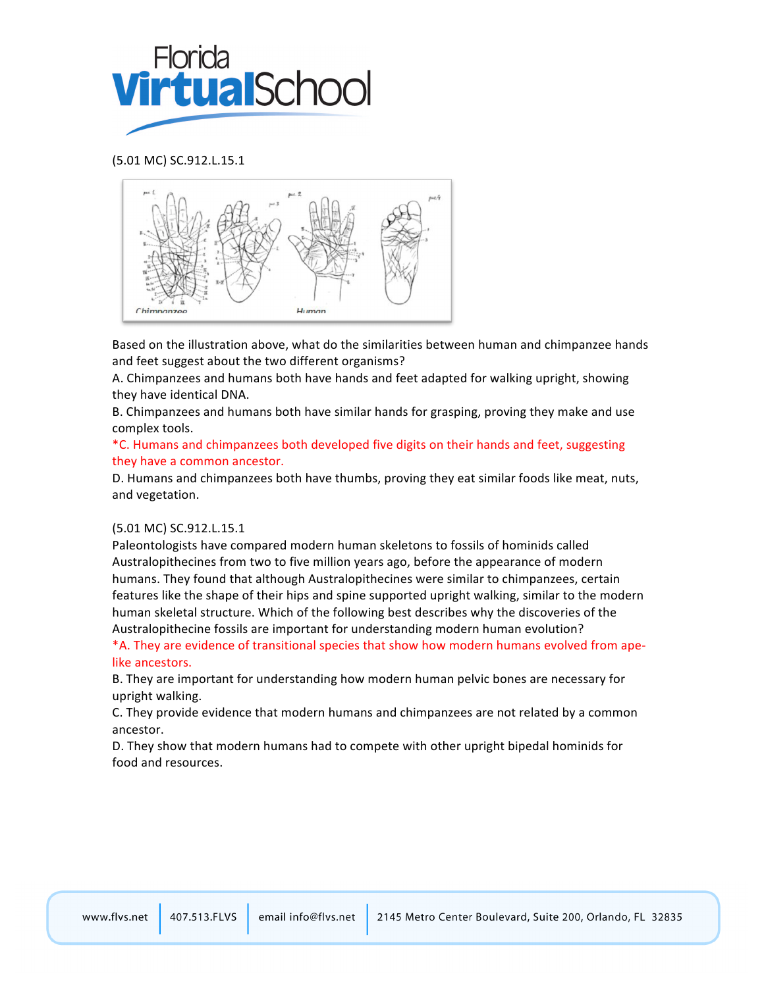

#### (5.01 MC) SC.912.L.15.1



Based on the illustration above, what do the similarities between human and chimpanzee hands and feet suggest about the two different organisms?

A. Chimpanzees and humans both have hands and feet adapted for walking upright, showing they have identical DNA.

B. Chimpanzees and humans both have similar hands for grasping, proving they make and use complex tools.

\*C. Humans and chimpanzees both developed five digits on their hands and feet, suggesting they have a common ancestor.

D. Humans and chimpanzees both have thumbs, proving they eat similar foods like meat, nuts, and vegetation.

#### (5.01 MC) SC.912.L.15.1

Paleontologists have compared modern human skeletons to fossils of hominids called Australopithecines from two to five million years ago, before the appearance of modern humans. They found that although Australopithecines were similar to chimpanzees, certain features like the shape of their hips and spine supported upright walking, similar to the modern human skeletal structure. Which of the following best describes why the discoveries of the Australopithecine fossils are important for understanding modern human evolution?

\*A. They are evidence of transitional species that show how modern humans evolved from apelike ancestors.

B. They are important for understanding how modern human pelvic bones are necessary for upright walking.

C. They provide evidence that modern humans and chimpanzees are not related by a common ancestor.

D. They show that modern humans had to compete with other upright bipedal hominids for food and resources.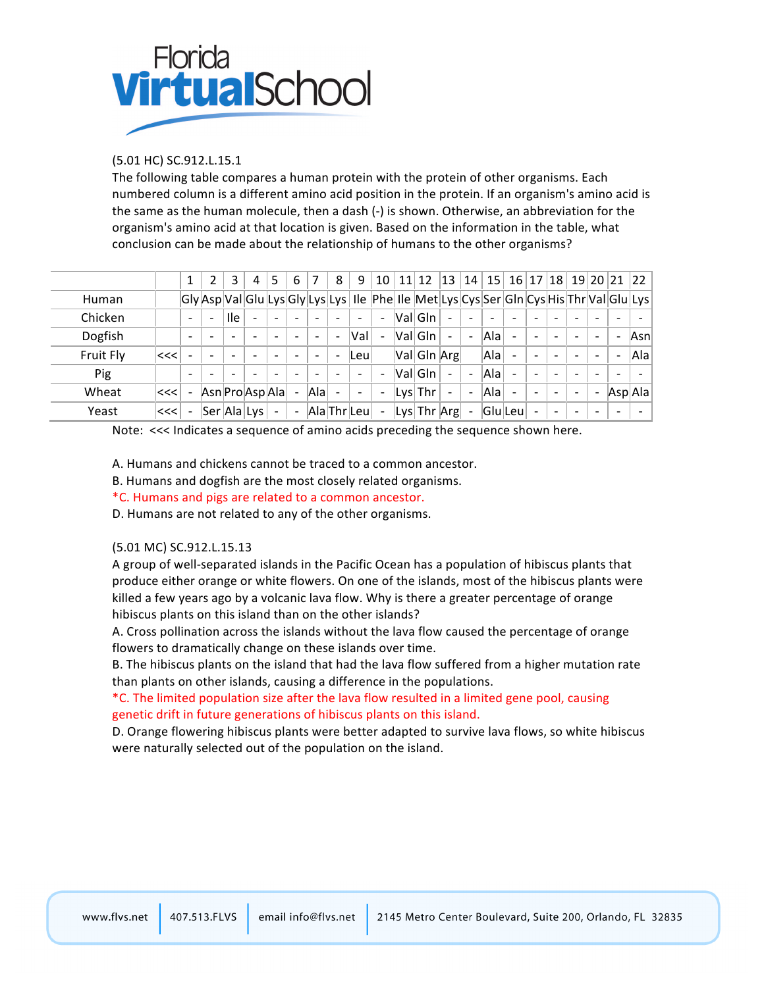

#### (5.01 HC) SC.912.L.15.1

The following table compares a human protein with the protein of other organisms. Each numbered column is a different amino acid position in the protein. If an organism's amino acid is the same as the human molecule, then a dash (-) is shown. Otherwise, an abbreviation for the organism's amino acid at that location is given. Based on the information in the table, what conclusion can be made about the relationship of humans to the other organisms?

|           |      |                          |   | 3          | 4                        | 5                        | 6                        |      | 8 | 9                        | 10                       | 11 | 12                                                                                              | 13                       | 14                       | 15  |                          | 16 17 18                 |                          |   | 19 20 21 22              |         |
|-----------|------|--------------------------|---|------------|--------------------------|--------------------------|--------------------------|------|---|--------------------------|--------------------------|----|-------------------------------------------------------------------------------------------------|--------------------------|--------------------------|-----|--------------------------|--------------------------|--------------------------|---|--------------------------|---------|
| Human     |      |                          |   |            |                          |                          |                          |      |   |                          |                          |    | Gly Asp Val Glu Lys Gly Lys Lys   Ile   Phe   Ile   Met Lys Cys Ser Gln Cys His Thr Val Glu Lys |                          |                          |     |                          |                          |                          |   |                          |         |
| Chicken   |      | $\overline{\phantom{0}}$ | ۰ | <b>Ile</b> | $\overline{\phantom{0}}$ |                          |                          |      |   | $\overline{\phantom{0}}$ | $\overline{\phantom{a}}$ |    | ValGIn                                                                                          | $\overline{\phantom{0}}$ |                          |     |                          |                          |                          |   |                          |         |
| Dogfish   |      | -                        |   |            |                          |                          |                          | ۰    |   | Val                      | $\overline{\phantom{a}}$ |    | ValGIn                                                                                          | $\overline{\phantom{0}}$ | $\overline{\phantom{0}}$ | Ala | $\overline{\phantom{0}}$ |                          | $\overline{\phantom{0}}$ |   | $\overline{\phantom{a}}$ | Asn     |
| Fruit Fly | ∣<<< |                          |   |            | $\overline{\phantom{a}}$ |                          |                          | ۰    | ٠ | lLeul                    |                          |    | Val Gln Arg                                                                                     |                          |                          | Ala | $\overline{\phantom{0}}$ |                          |                          |   | $\overline{\phantom{a}}$ | A a     |
| Pig       |      | $\overline{\phantom{0}}$ |   |            | $\overline{\phantom{0}}$ | ۰                        |                          |      |   | $\overline{\phantom{a}}$ | $\overline{\phantom{0}}$ |    | Val Gln                                                                                         | $\overline{\phantom{a}}$ |                          | Ala | $\equiv$                 | $\sim$                   | $\overline{\phantom{0}}$ |   |                          |         |
| Wheat     | <<<  | $\overline{\phantom{a}}$ |   |            | Asn Pro Asp Ala          |                          |                          | Alal |   | $\overline{\phantom{a}}$ | $\overline{\phantom{a}}$ |    | $ Lys $ Thr                                                                                     | $\overline{\phantom{0}}$ | $\overline{\phantom{a}}$ | Ala | $\blacksquare$           |                          |                          | ۰ |                          | Asp A a |
| Yeast     | ∣<<< | $\overline{\phantom{a}}$ |   |            | Ser Ala Lys              | $\overline{\phantom{a}}$ | $\overline{\phantom{a}}$ |      |   | Ala Thr Leu              | $\overline{\phantom{a}}$ |    | $\vert Lys \vert$ Thr $\vert Arg \vert$                                                         |                          | $\overline{\phantom{0}}$ |     | $ G $ u $ L$ eu $ $      | $\overline{\phantom{a}}$ | $\overline{\phantom{a}}$ |   | -                        |         |

Note: <<< Indicates a sequence of amino acids preceding the sequence shown here.

A. Humans and chickens cannot be traced to a common ancestor.

B. Humans and dogfish are the most closely related organisms.

\*C.!Humans!and!pigs!are!related!to!a!common!ancestor.

D. Humans are not related to any of the other organisms.

#### (5.01 MC) SC.912.L.15.13

A group of well-separated islands in the Pacific Ocean has a population of hibiscus plants that produce either orange or white flowers. On one of the islands, most of the hibiscus plants were killed a few years ago by a volcanic lava flow. Why is there a greater percentage of orange hibiscus plants on this island than on the other islands?

A. Cross pollination across the islands without the lava flow caused the percentage of orange flowers to dramatically change on these islands over time.

B. The hibiscus plants on the island that had the lava flow suffered from a higher mutation rate than plants on other islands, causing a difference in the populations.

\*C. The limited population size after the lava flow resulted in a limited gene pool, causing genetic drift in future generations of hibiscus plants on this island.

D. Orange flowering hibiscus plants were better adapted to survive lava flows, so white hibiscus were naturally selected out of the population on the island.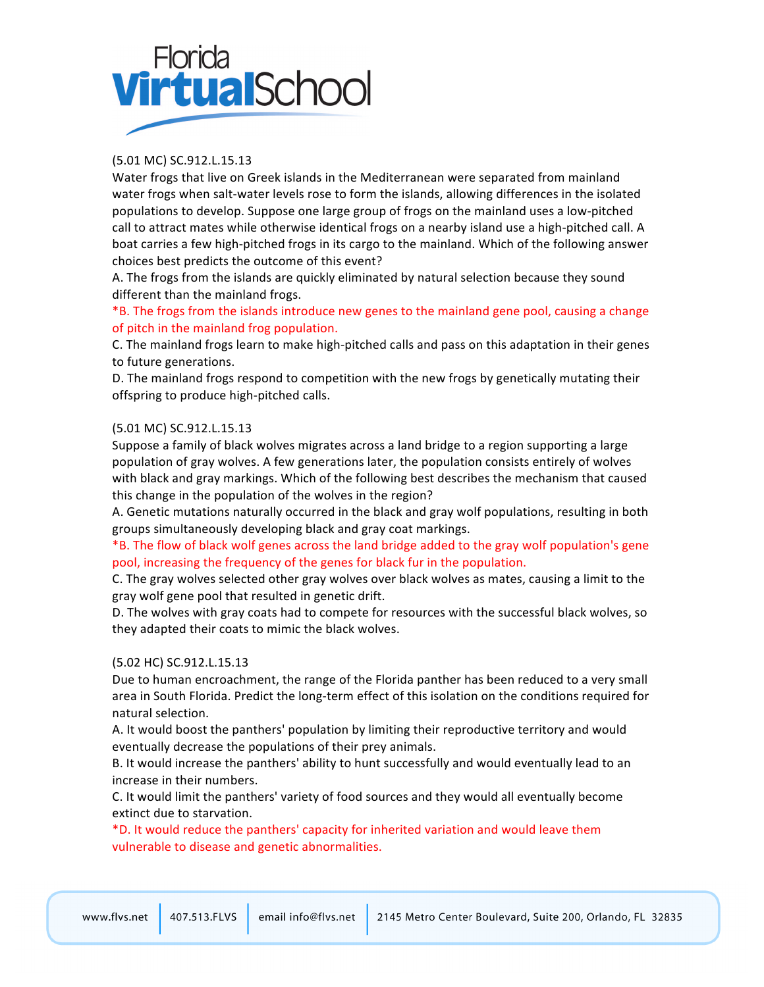# Florida VirtualSchoc

# (5.01 MC) SC.912.L.15.13

Water frogs that live on Greek islands in the Mediterranean were separated from mainland water frogs when salt-water levels rose to form the islands, allowing differences in the isolated populations to develop. Suppose one large group of frogs on the mainland uses a low-pitched call to attract mates while otherwise identical frogs on a nearby island use a high-pitched call. A boat carries a few high-pitched frogs in its cargo to the mainland. Which of the following answer choices best predicts the outcome of this event?

A. The frogs from the islands are quickly eliminated by natural selection because they sound different than the mainland frogs.

\*B. The frogs from the islands introduce new genes to the mainland gene pool, causing a change of pitch in the mainland frog population.

C. The mainland frogs learn to make high-pitched calls and pass on this adaptation in their genes to future generations.

D. The mainland frogs respond to competition with the new frogs by genetically mutating their offspring to produce high-pitched calls.

#### (5.01 MC) SC.912.L.15.13

Suppose a family of black wolves migrates across a land bridge to a region supporting a large population of gray wolves. A few generations later, the population consists entirely of wolves with black and gray markings. Which of the following best describes the mechanism that caused this change in the population of the wolves in the region?

A. Genetic mutations naturally occurred in the black and gray wolf populations, resulting in both groups simultaneously developing black and gray coat markings.

\*B. The flow of black wolf genes across the land bridge added to the gray wolf population's gene pool, increasing the frequency of the genes for black fur in the population.

C. The gray wolves selected other gray wolves over black wolves as mates, causing a limit to the gray wolf gene pool that resulted in genetic drift.

D. The wolves with gray coats had to compete for resources with the successful black wolves, so they adapted their coats to mimic the black wolves.

#### (5.02 HC) SC.912.L.15.13

Due to human encroachment, the range of the Florida panther has been reduced to a very small area in South Florida. Predict the long-term effect of this isolation on the conditions required for natural selection.

A. It would boost the panthers' population by limiting their reproductive territory and would eventually decrease the populations of their prey animals.

B. It would increase the panthers' ability to hunt successfully and would eventually lead to an increase in their numbers.

C. It would limit the panthers' variety of food sources and they would all eventually become extinct due to starvation.

\*D. It would reduce the panthers' capacity for inherited variation and would leave them vulnerable to disease and genetic abnormalities.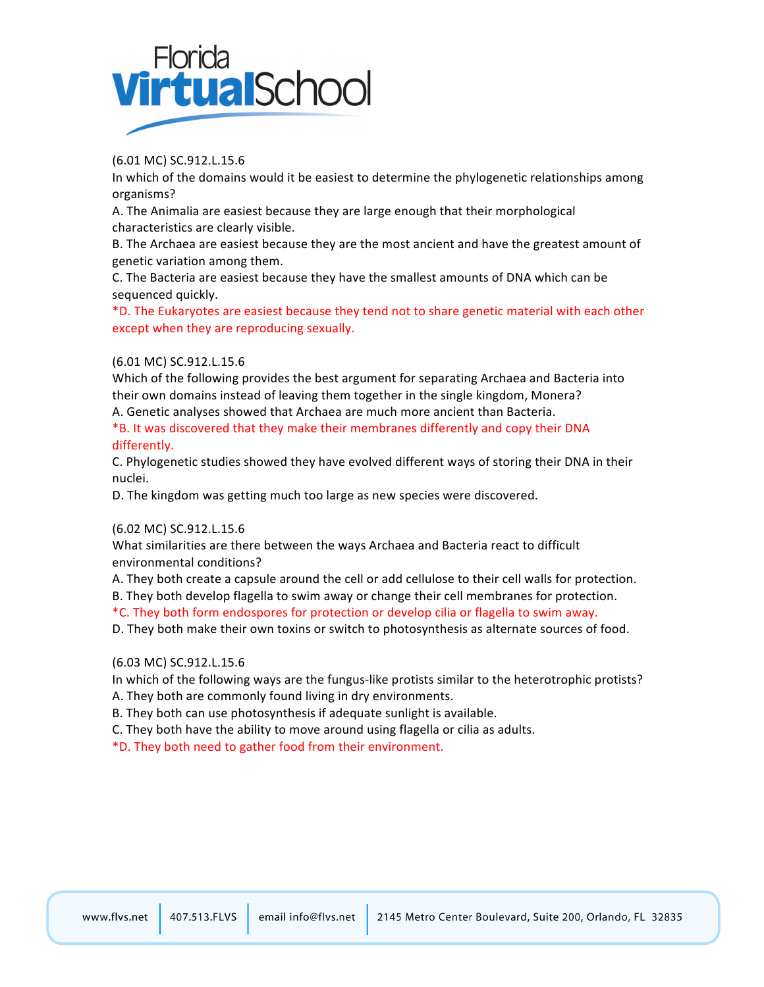

(6.01 MC) SC.912.L.15.6

In which of the domains would it be easiest to determine the phylogenetic relationships among organisms?

A. The Animalia are easiest because they are large enough that their morphological characteristics are clearly visible.

B. The Archaea are easiest because they are the most ancient and have the greatest amount of genetic variation among them.

C. The Bacteria are easiest because they have the smallest amounts of DNA which can be sequenced quickly.

\*D. The Eukaryotes are easiest because they tend not to share genetic material with each other except when they are reproducing sexually.

#### (6.01 MC) SC.912.L.15.6

Which of the following provides the best argument for separating Archaea and Bacteria into their own domains instead of leaving them together in the single kingdom, Monera?

A. Genetic analyses showed that Archaea are much more ancient than Bacteria.

\*B. It was discovered that they make their membranes differently and copy their DNA differently.

C. Phylogenetic studies showed they have evolved different ways of storing their DNA in their nuclei.

D. The kingdom was getting much too large as new species were discovered.

#### (6.02 MC) SC.912.L.15.6

What similarities are there between the ways Archaea and Bacteria react to difficult environmental conditions?

A. They both create a capsule around the cell or add cellulose to their cell walls for protection.

B. They both develop flagella to swim away or change their cell membranes for protection.

\*C. They both form endospores for protection or develop cilia or flagella to swim away.

D. They both make their own toxins or switch to photosynthesis as alternate sources of food.

(6.03 MC) SC.912.L.15.6

In which of the following ways are the fungus-like protists similar to the heterotrophic protists?

A. They both are commonly found living in dry environments.

B. They both can use photosynthesis if adequate sunlight is available.

C. They both have the ability to move around using flagella or cilia as adults.

\*D.!They!both!need!to!gather!food!from!their!environment.

email info@flvs.net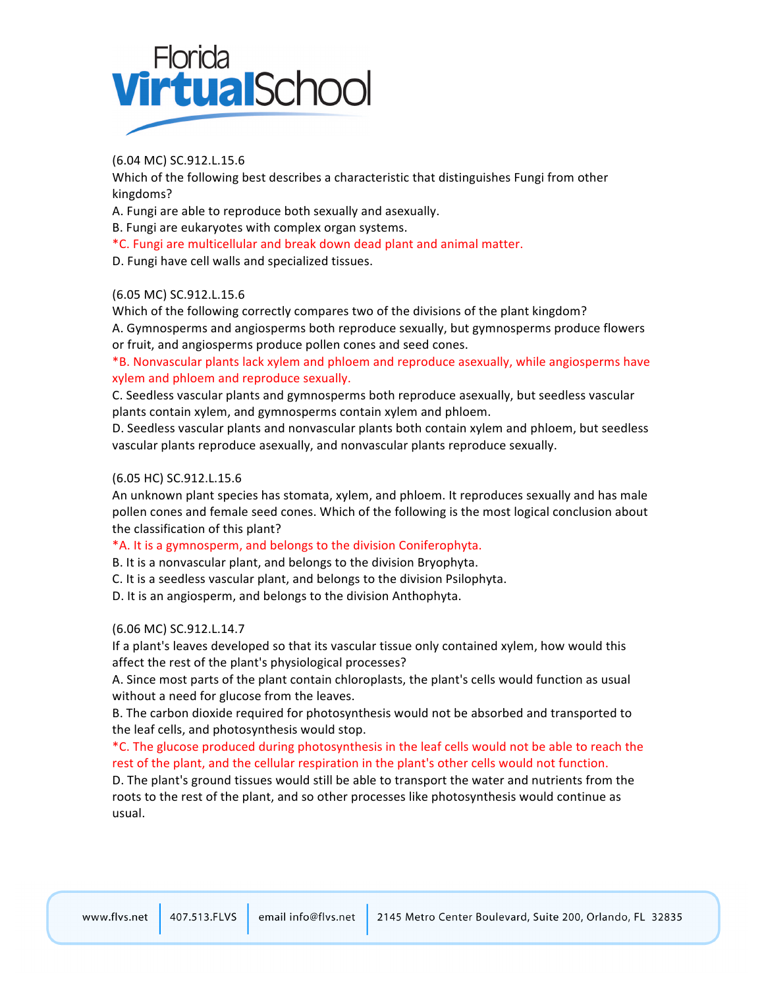

(6.04 MC) SC.912.L.15.6

Which of the following best describes a characteristic that distinguishes Fungi from other kingdoms?

A. Fungi are able to reproduce both sexually and asexually.

B. Fungi are eukaryotes with complex organ systems.

\*C.!Fungi!are!multicellular!and!break!down!dead!plant!and!animal!matter.

D. Fungi have cell walls and specialized tissues.

#### (6.05 MC) SC.912.L.15.6

Which of the following correctly compares two of the divisions of the plant kingdom? A. Gymnosperms and angiosperms both reproduce sexually, but gymnosperms produce flowers or fruit, and angiosperms produce pollen cones and seed cones.

\*B. Nonvascular plants lack xylem and phloem and reproduce asexually, while angiosperms have xylem and phloem and reproduce sexually.

C. Seedless vascular plants and gymnosperms both reproduce asexually, but seedless vascular plants contain xylem, and gymnosperms contain xylem and phloem.

D. Seedless vascular plants and nonvascular plants both contain xylem and phloem, but seedless vascular plants reproduce asexually, and nonvascular plants reproduce sexually.

#### (6.05 HC) SC.912.L.15.6

An unknown plant species has stomata, xylem, and phloem. It reproduces sexually and has male pollen cones and female seed cones. Which of the following is the most logical conclusion about the classification of this plant?

#### \*A. It is a gymnosperm, and belongs to the division Coniferophyta.

B. It is a nonvascular plant, and belongs to the division Bryophyta.

C. It is a seedless vascular plant, and belongs to the division Psilophyta.

D. It is an angiosperm, and belongs to the division Anthophyta.

#### (6.06 MC) SC.912.L.14.7

If a plant's leaves developed so that its vascular tissue only contained xylem, how would this affect the rest of the plant's physiological processes?

A. Since most parts of the plant contain chloroplasts, the plant's cells would function as usual without a need for glucose from the leaves.

B. The carbon dioxide required for photosynthesis would not be absorbed and transported to the leaf cells, and photosynthesis would stop.

\*C. The glucose produced during photosynthesis in the leaf cells would not be able to reach the rest of the plant, and the cellular respiration in the plant's other cells would not function.

D. The plant's ground tissues would still be able to transport the water and nutrients from the roots to the rest of the plant, and so other processes like photosynthesis would continue as usual.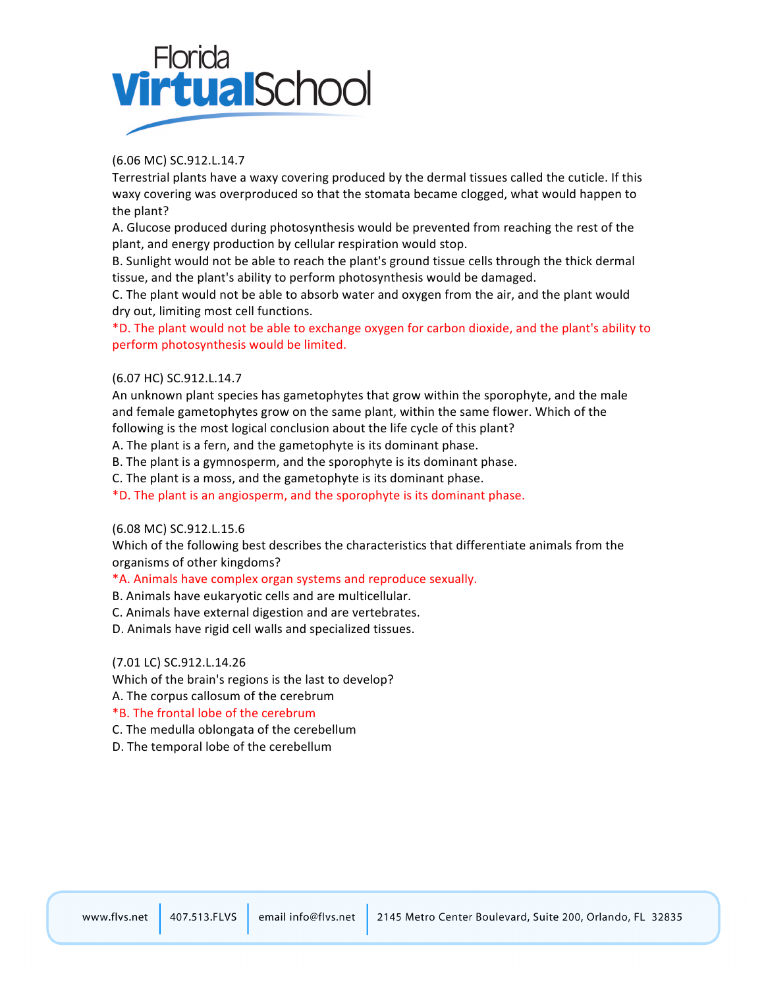

#### (6.06 MC) SC.912.L.14.7

Terrestrial plants have a waxy covering produced by the dermal tissues called the cuticle. If this waxy covering was overproduced so that the stomata became clogged, what would happen to the plant?

A. Glucose produced during photosynthesis would be prevented from reaching the rest of the plant, and energy production by cellular respiration would stop.

B. Sunlight would not be able to reach the plant's ground tissue cells through the thick dermal tissue, and the plant's ability to perform photosynthesis would be damaged.

C. The plant would not be able to absorb water and oxygen from the air, and the plant would dry out, limiting most cell functions.

\*D. The plant would not be able to exchange oxygen for carbon dioxide, and the plant's ability to perform photosynthesis would be limited.

#### (6.07 HC) SC.912.L.14.7

An unknown plant species has gametophytes that grow within the sporophyte, and the male and female gametophytes grow on the same plant, within the same flower. Which of the following is the most logical conclusion about the life cycle of this plant?

A. The plant is a fern, and the gametophyte is its dominant phase.

B. The plant is a gymnosperm, and the sporophyte is its dominant phase.

C. The plant is a moss, and the gametophyte is its dominant phase.

\*D. The plant is an angiosperm, and the sporophyte is its dominant phase.

#### (6.08 MC) SC.912.L.15.6

Which of the following best describes the characteristics that differentiate animals from the organisms of other kingdoms?

\*A. Animals have complex organ systems and reproduce sexually.

B. Animals have eukaryotic cells and are multicellular.

C. Animals have external digestion and are vertebrates.

D. Animals have rigid cell walls and specialized tissues.

#### (7.01 LC) SC.912.L.14.26

Which of the brain's regions is the last to develop?

A. The corpus callosum of the cerebrum

#### \*B.!The!frontal!lobe!of!the!cerebrum

C. The medulla oblongata of the cerebellum

D. The temporal lobe of the cerebellum

email info@flvs.net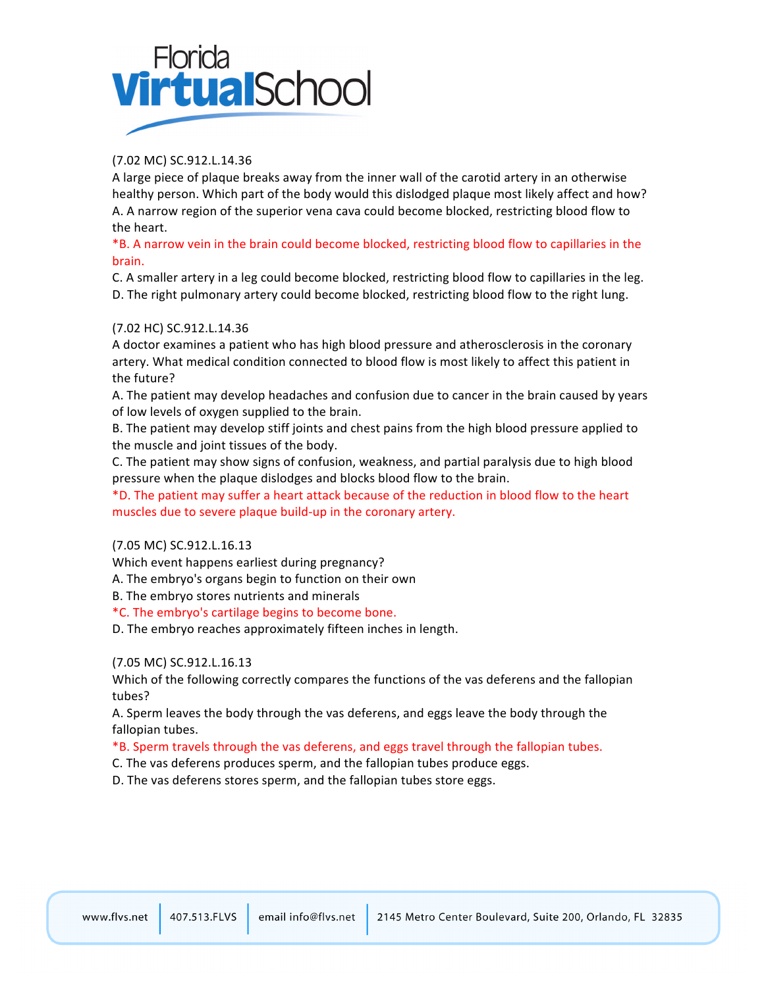# Florida<br>**Virtual**Schoc

# (7.02 MC) SC.912.L.14.36

A large piece of plaque breaks away from the inner wall of the carotid artery in an otherwise healthy person. Which part of the body would this dislodged plaque most likely affect and how? A. A narrow region of the superior vena cava could become blocked, restricting blood flow to the heart.

\*B. A narrow vein in the brain could become blocked, restricting blood flow to capillaries in the brain.

C. A smaller artery in a leg could become blocked, restricting blood flow to capillaries in the leg. D. The right pulmonary artery could become blocked, restricting blood flow to the right lung.

#### (7.02 HC) SC.912.L.14.36

A doctor examines a patient who has high blood pressure and atherosclerosis in the coronary artery. What medical condition connected to blood flow is most likely to affect this patient in the future?

A. The patient may develop headaches and confusion due to cancer in the brain caused by years of low levels of oxygen supplied to the brain.

B. The patient may develop stiff joints and chest pains from the high blood pressure applied to the muscle and joint tissues of the body.

C. The patient may show signs of confusion, weakness, and partial paralysis due to high blood pressure when the plaque dislodges and blocks blood flow to the brain.

\*D. The patient may suffer a heart attack because of the reduction in blood flow to the heart muscles due to severe plaque build-up in the coronary artery.

(7.05 MC) SC.912.L.16.13

Which event happens earliest during pregnancy?

A. The embryo's organs begin to function on their own

B. The embryo stores nutrients and minerals

\*C. The embryo's cartilage begins to become bone.

D. The embryo reaches approximately fifteen inches in length.

#### (7.05 MC) SC.912.L.16.13

Which of the following correctly compares the functions of the vas deferens and the fallopian tubes?

A. Sperm leaves the body through the vas deferens, and eggs leave the body through the fallopian tubes.

#### \*B. Sperm travels through the vas deferens, and eggs travel through the fallopian tubes.

C. The vas deferens produces sperm, and the fallopian tubes produce eggs.

D. The vas deferens stores sperm, and the fallopian tubes store eggs.

email info@flvs.net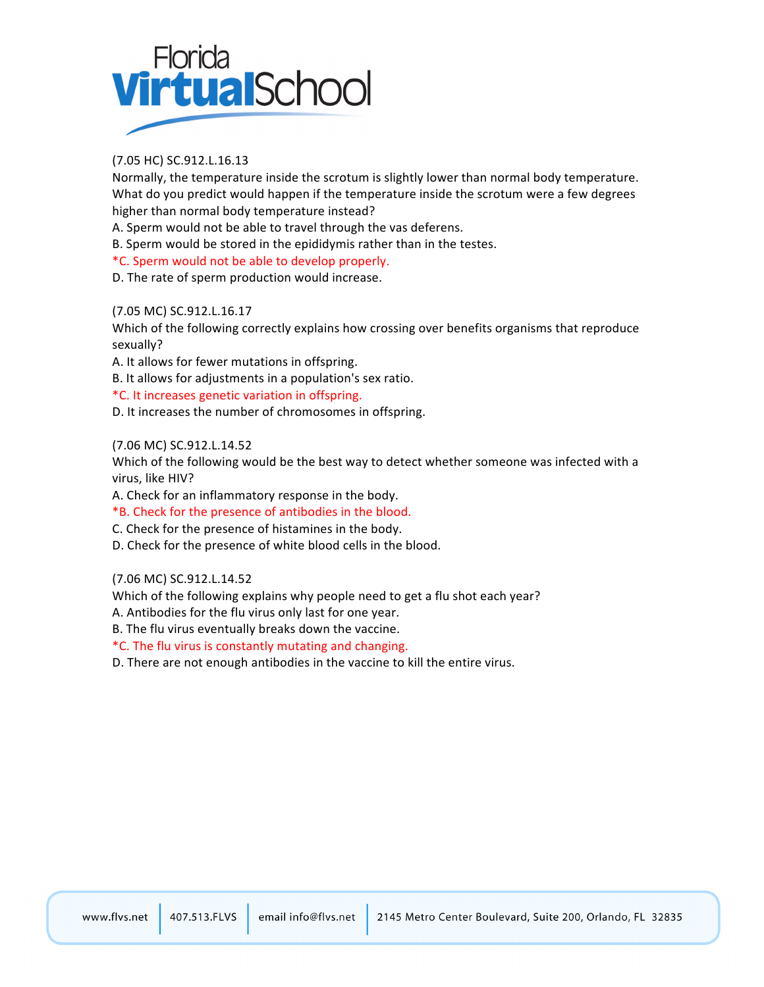

#### (7.05 HC) SC.912.L.16.13

Normally, the temperature inside the scrotum is slightly lower than normal body temperature. What do you predict would happen if the temperature inside the scrotum were a few degrees higher than normal body temperature instead?

A. Sperm would not be able to travel through the vas deferens.

B. Sperm would be stored in the epididymis rather than in the testes.

\*C.!Sperm!would!not!be!able!to!develop!properly.

D. The rate of sperm production would increase.

#### (7.05 MC) SC.912.L.16.17

Which of the following correctly explains how crossing over benefits organisms that reproduce sexually?

A. It allows for fewer mutations in offspring.

B. It allows for adjustments in a population's sex ratio.

\*C. It increases genetic variation in offspring.

D. It increases the number of chromosomes in offspring.

#### (7.06 MC) SC.912.L.14.52

Which of the following would be the best way to detect whether someone was infected with a virus, like HIV?

A. Check for an inflammatory response in the body.

\*B. Check for the presence of antibodies in the blood.

C. Check for the presence of histamines in the body.

D. Check for the presence of white blood cells in the blood.

(7.06 MC) SC.912.L.14.52

Which of the following explains why people need to get a flu shot each year?

A. Antibodies for the flu virus only last for one year.

B. The flu virus eventually breaks down the vaccine.

\*C. The flu virus is constantly mutating and changing.

D. There are not enough antibodies in the vaccine to kill the entire virus.